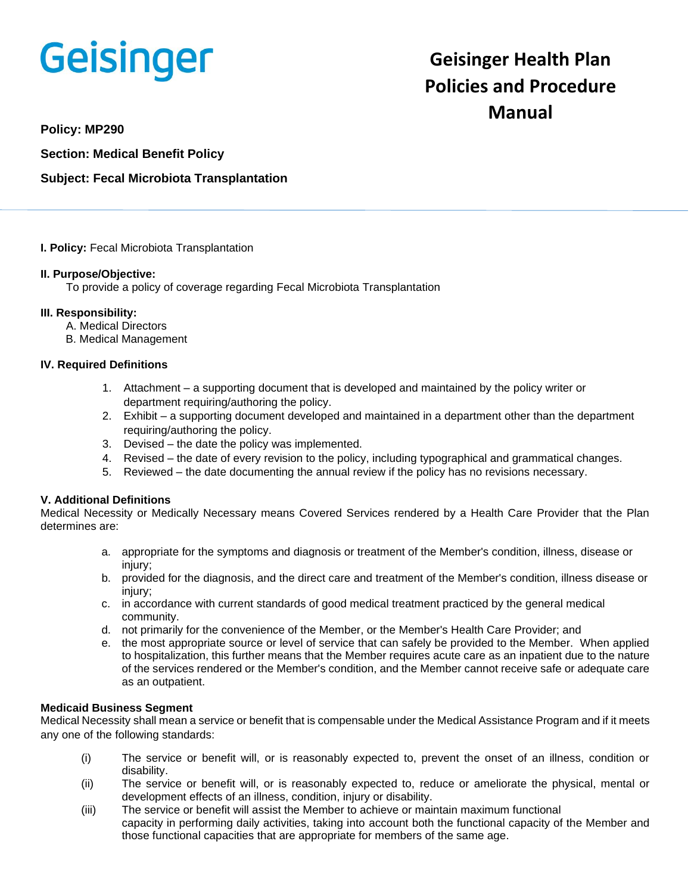# **Geisinger**

# **Geisinger Health Plan Policies and Procedure Manual**

**Policy: MP290**

**Section: Medical Benefit Policy**

# **Subject: Fecal Microbiota Transplantation**

### **I. Policy:** Fecal Microbiota Transplantation

### **II. Purpose/Objective:**

To provide a policy of coverage regarding Fecal Microbiota Transplantation

### **III. Responsibility:**

- A. Medical Directors
- B. Medical Management

### **IV. Required Definitions**

- 1. Attachment a supporting document that is developed and maintained by the policy writer or department requiring/authoring the policy.
- 2. Exhibit a supporting document developed and maintained in a department other than the department requiring/authoring the policy.
- 3. Devised the date the policy was implemented.
- 4. Revised the date of every revision to the policy, including typographical and grammatical changes.
- 5. Reviewed the date documenting the annual review if the policy has no revisions necessary.

## **V. Additional Definitions**

Medical Necessity or Medically Necessary means Covered Services rendered by a Health Care Provider that the Plan determines are:

- a. appropriate for the symptoms and diagnosis or treatment of the Member's condition, illness, disease or injury;
- b. provided for the diagnosis, and the direct care and treatment of the Member's condition, illness disease or injury;
- c. in accordance with current standards of good medical treatment practiced by the general medical community.
- d. not primarily for the convenience of the Member, or the Member's Health Care Provider; and
- e. the most appropriate source or level of service that can safely be provided to the Member. When applied to hospitalization, this further means that the Member requires acute care as an inpatient due to the nature of the services rendered or the Member's condition, and the Member cannot receive safe or adequate care as an outpatient.

#### **Medicaid Business Segment**

Medical Necessity shall mean a service or benefit that is compensable under the Medical Assistance Program and if it meets any one of the following standards:

- (i) The service or benefit will, or is reasonably expected to, prevent the onset of an illness, condition or disability.
- (ii) The service or benefit will, or is reasonably expected to, reduce or ameliorate the physical, mental or development effects of an illness, condition, injury or disability.
- (iii) The service or benefit will assist the Member to achieve or maintain maximum functional capacity in performing daily activities, taking into account both the functional capacity of the Member and those functional capacities that are appropriate for members of the same age.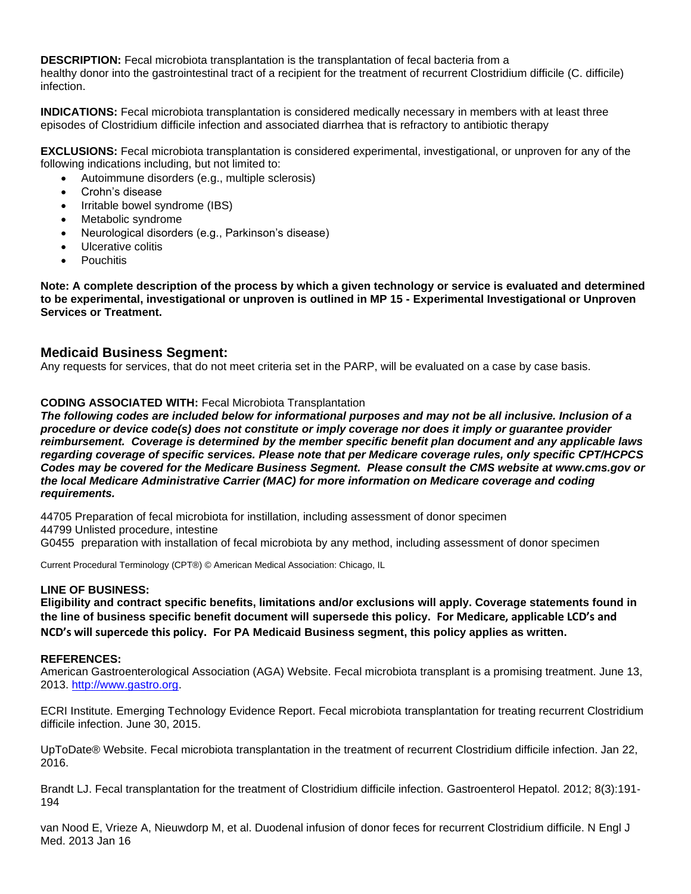**DESCRIPTION:** Fecal microbiota transplantation is the transplantation of fecal bacteria from a healthy donor into the gastrointestinal tract of a recipient for the treatment of recurrent Clostridium difficile (C. difficile) infection.

**INDICATIONS:** Fecal microbiota transplantation is considered medically necessary in members with at least three episodes of Clostridium difficile infection and associated diarrhea that is refractory to antibiotic therapy

**EXCLUSIONS:** Fecal microbiota transplantation is considered experimental, investigational, or unproven for any of the following indications including, but not limited to:

- Autoimmune disorders (e.g., multiple sclerosis)
- Crohn's disease
- Irritable bowel syndrome (IBS)
- Metabolic syndrome
- Neurological disorders (e.g., Parkinson's disease)
- Ulcerative colitis
- Pouchitis

**Note: A complete description of the process by which a given technology or service is evaluated and determined to be experimental, investigational or unproven is outlined in MP 15 - Experimental Investigational or Unproven Services or Treatment.**

# **Medicaid Business Segment:**

Any requests for services, that do not meet criteria set in the PARP, will be evaluated on a case by case basis.

### **CODING ASSOCIATED WITH:** Fecal Microbiota Transplantation

*The following codes are included below for informational purposes and may not be all inclusive. Inclusion of a procedure or device code(s) does not constitute or imply coverage nor does it imply or guarantee provider reimbursement. Coverage is determined by the member specific benefit plan document and any applicable laws regarding coverage of specific services. Please note that per Medicare coverage rules, only specific CPT/HCPCS Codes may be covered for the Medicare Business Segment. Please consult the CMS website at www.cms.gov or the local Medicare Administrative Carrier (MAC) for more information on Medicare coverage and coding requirements.*

44705 Preparation of fecal microbiota for instillation, including assessment of donor specimen 44799 Unlisted procedure, intestine G0455 preparation with installation of fecal microbiota by any method, including assessment of donor specimen

Current Procedural Terminology (CPT®) © American Medical Association: Chicago, IL

#### **LINE OF BUSINESS:**

**Eligibility and contract specific benefits, limitations and/or exclusions will apply. Coverage statements found in the line of business specific benefit document will supersede this policy. For Medicare, applicable LCD's and NCD's will supercede this policy. For PA Medicaid Business segment, this policy applies as written.**

#### **REFERENCES:**

American Gastroenterological Association (AGA) Website. Fecal microbiota transplant is a promising treatment. June 13, 2013. [http://www.gastro.org.](http://www.gastro.org/)

ECRI Institute. Emerging Technology Evidence Report. Fecal microbiota transplantation for treating recurrent Clostridium difficile infection. June 30, 2015.

UpToDate® Website. Fecal microbiota transplantation in the treatment of recurrent Clostridium difficile infection. Jan 22, 2016.

Brandt LJ. Fecal transplantation for the treatment of Clostridium difficile infection. Gastroenterol Hepatol. 2012; 8(3):191-194

van Nood E, Vrieze A, Nieuwdorp M, et al. Duodenal infusion of donor feces for recurrent Clostridium difficile. N Engl J Med. 2013 Jan 16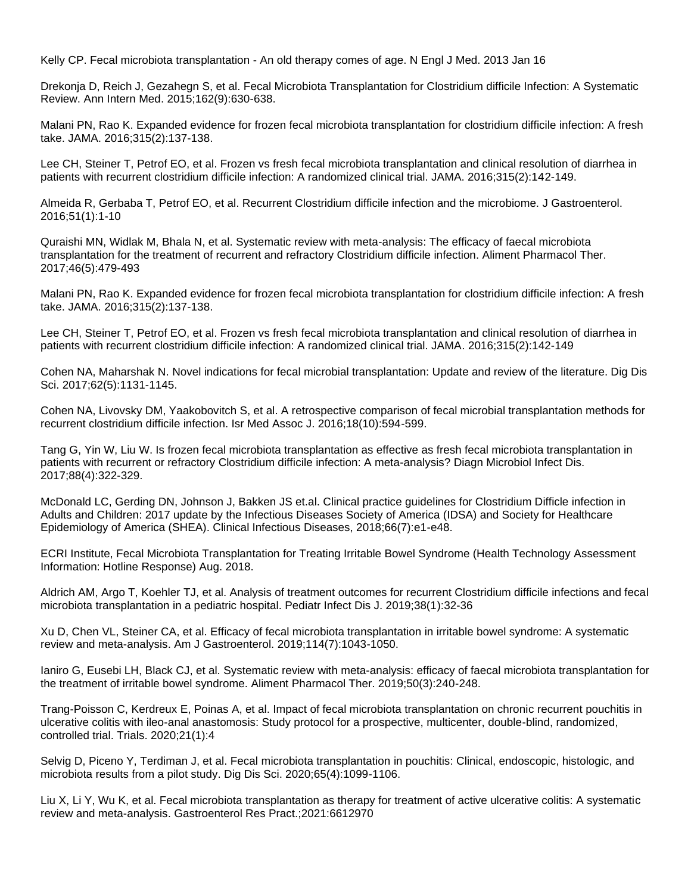Kelly CP. Fecal microbiota transplantation - An old therapy comes of age. N Engl J Med. 2013 Jan 16

Drekonja D, Reich J, Gezahegn S, et al. Fecal Microbiota Transplantation for Clostridium difficile Infection: A Systematic Review. Ann Intern Med. 2015;162(9):630-638.

Malani PN, Rao K. Expanded evidence for frozen fecal microbiota transplantation for clostridium difficile infection: A fresh take. JAMA. 2016;315(2):137-138.

Lee CH, Steiner T, Petrof EO, et al. Frozen vs fresh fecal microbiota transplantation and clinical resolution of diarrhea in patients with recurrent clostridium difficile infection: A randomized clinical trial. JAMA. 2016;315(2):142-149.

Almeida R, Gerbaba T, Petrof EO, et al. Recurrent Clostridium difficile infection and the microbiome. J Gastroenterol. 2016;51(1):1-10

Quraishi MN, Widlak M, Bhala N, et al. Systematic review with meta-analysis: The efficacy of faecal microbiota transplantation for the treatment of recurrent and refractory Clostridium difficile infection. Aliment Pharmacol Ther. 2017;46(5):479-493

Malani PN, Rao K. Expanded evidence for frozen fecal microbiota transplantation for clostridium difficile infection: A fresh take. JAMA. 2016;315(2):137-138.

Lee CH, Steiner T, Petrof EO, et al. Frozen vs fresh fecal microbiota transplantation and clinical resolution of diarrhea in patients with recurrent clostridium difficile infection: A randomized clinical trial. JAMA. 2016;315(2):142-149

Cohen NA, Maharshak N. Novel indications for fecal microbial transplantation: Update and review of the literature. Dig Dis Sci. 2017;62(5):1131-1145.

Cohen NA, Livovsky DM, Yaakobovitch S, et al. A retrospective comparison of fecal microbial transplantation methods for recurrent clostridium difficile infection. Isr Med Assoc J. 2016;18(10):594-599.

Tang G, Yin W, Liu W. Is frozen fecal microbiota transplantation as effective as fresh fecal microbiota transplantation in patients with recurrent or refractory Clostridium difficile infection: A meta-analysis? Diagn Microbiol Infect Dis. 2017;88(4):322-329.

McDonald LC, Gerding DN, Johnson J, Bakken JS et.al. Clinical practice guidelines for Clostridium Difficle infection in Adults and Children: 2017 update by the Infectious Diseases Society of America (IDSA) and Society for Healthcare Epidemiology of America (SHEA). Clinical Infectious Diseases, 2018;66(7):e1-e48.

ECRI Institute, Fecal Microbiota Transplantation for Treating Irritable Bowel Syndrome (Health Technology Assessment Information: Hotline Response) Aug. 2018.

Aldrich AM, Argo T, Koehler TJ, et al. Analysis of treatment outcomes for recurrent Clostridium difficile infections and fecal microbiota transplantation in a pediatric hospital. Pediatr Infect Dis J. 2019;38(1):32-36

Xu D, Chen VL, Steiner CA, et al. Efficacy of fecal microbiota transplantation in irritable bowel syndrome: A systematic review and meta-analysis. Am J Gastroenterol. 2019;114(7):1043-1050.

Ianiro G, Eusebi LH, Black CJ, et al. Systematic review with meta-analysis: efficacy of faecal microbiota transplantation for the treatment of irritable bowel syndrome. Aliment Pharmacol Ther. 2019;50(3):240-248.

Trang-Poisson C, Kerdreux E, Poinas A, et al. Impact of fecal microbiota transplantation on chronic recurrent pouchitis in ulcerative colitis with ileo-anal anastomosis: Study protocol for a prospective, multicenter, double-blind, randomized, controlled trial. Trials. 2020;21(1):4

Selvig D, Piceno Y, Terdiman J, et al. Fecal microbiota transplantation in pouchitis: Clinical, endoscopic, histologic, and microbiota results from a pilot study. Dig Dis Sci. 2020;65(4):1099-1106.

Liu X, Li Y, Wu K, et al. Fecal microbiota transplantation as therapy for treatment of active ulcerative colitis: A systematic review and meta-analysis. Gastroenterol Res Pract.;2021:6612970